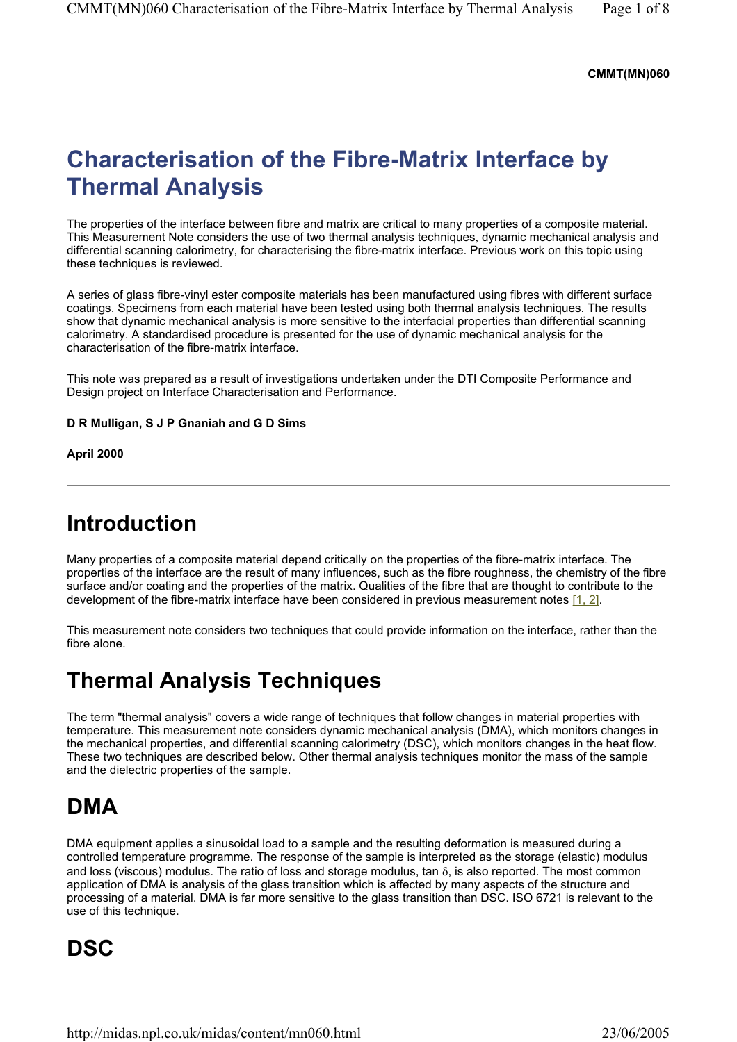#### **CMMT(MN)060**

# **Characterisation of the Fibre-Matrix Interface by Thermal Analysis**

The properties of the interface between fibre and matrix are critical to many properties of a composite material. This Measurement Note considers the use of two thermal analysis techniques, dynamic mechanical analysis and differential scanning calorimetry, for characterising the fibre-matrix interface. Previous work on this topic using these techniques is reviewed.

A series of glass fibre-vinyl ester composite materials has been manufactured using fibres with different surface coatings. Specimens from each material have been tested using both thermal analysis techniques. The results show that dynamic mechanical analysis is more sensitive to the interfacial properties than differential scanning calorimetry. A standardised procedure is presented for the use of dynamic mechanical analysis for the characterisation of the fibre-matrix interface.

This note was prepared as a result of investigations undertaken under the DTI Composite Performance and Design project on Interface Characterisation and Performance.

#### **D R Mulligan, S J P Gnaniah and G D Sims**

**April 2000** 

## **Introduction**

Many properties of a composite material depend critically on the properties of the fibre-matrix interface. The properties of the interface are the result of many influences, such as the fibre roughness, the chemistry of the fibre surface and/or coating and the properties of the matrix. Qualities of the fibre that are thought to contribute to the development of the fibre-matrix interface have been considered in previous measurement notes [1, 2].

This measurement note considers two techniques that could provide information on the interface, rather than the fibre alone.

# **Thermal Analysis Techniques**

The term "thermal analysis" covers a wide range of techniques that follow changes in material properties with temperature. This measurement note considers dynamic mechanical analysis (DMA), which monitors changes in the mechanical properties, and differential scanning calorimetry (DSC), which monitors changes in the heat flow. These two techniques are described below. Other thermal analysis techniques monitor the mass of the sample and the dielectric properties of the sample.

## **DMA**

DMA equipment applies a sinusoidal load to a sample and the resulting deformation is measured during a controlled temperature programme. The response of the sample is interpreted as the storage (elastic) modulus and loss (viscous) modulus. The ratio of loss and storage modulus, tan  $\delta$ , is also reported. The most common application of DMA is analysis of the glass transition which is affected by many aspects of the structure and processing of a material. DMA is far more sensitive to the glass transition than DSC. ISO 6721 is relevant to the use of this technique.

# **DSC**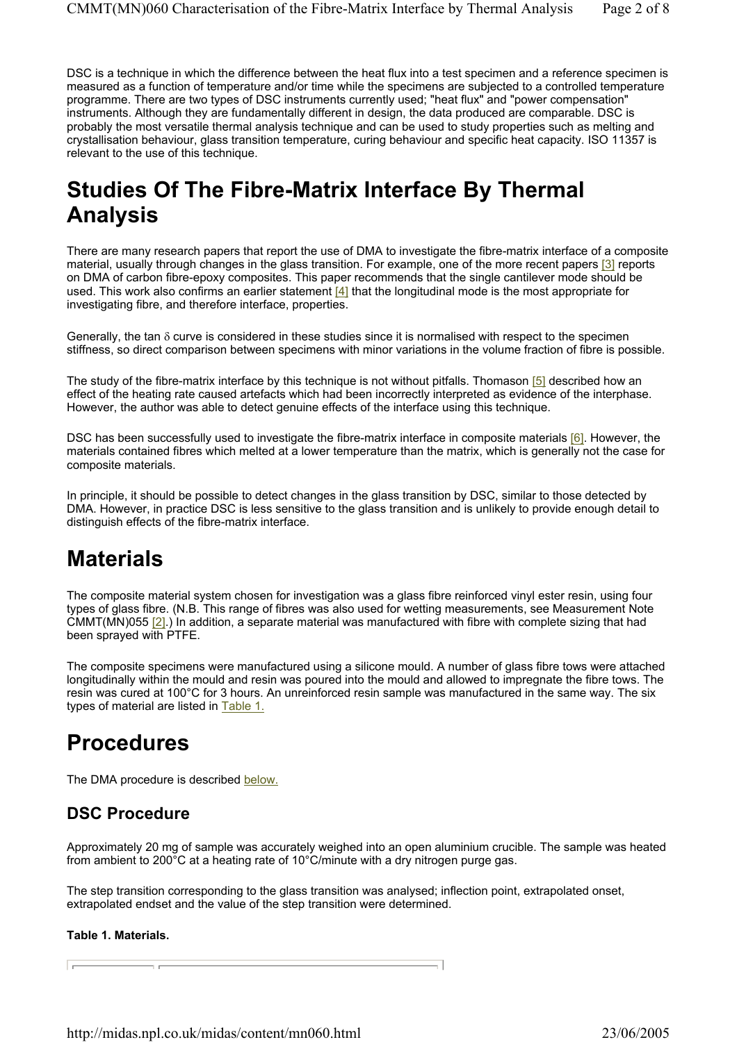DSC is a technique in which the difference between the heat flux into a test specimen and a reference specimen is measured as a function of temperature and/or time while the specimens are subjected to a controlled temperature programme. There are two types of DSC instruments currently used; "heat flux" and "power compensation" instruments. Although they are fundamentally different in design, the data produced are comparable. DSC is probably the most versatile thermal analysis technique and can be used to study properties such as melting and crystallisation behaviour, glass transition temperature, curing behaviour and specific heat capacity. ISO 11357 is relevant to the use of this technique.

# **Studies Of The Fibre-Matrix Interface By Thermal Analysis**

There are many research papers that report the use of DMA to investigate the fibre-matrix interface of a composite material, usually through changes in the glass transition. For example, one of the more recent papers [3] reports on DMA of carbon fibre-epoxy composites. This paper recommends that the single cantilever mode should be used. This work also confirms an earlier statement [4] that the longitudinal mode is the most appropriate for investigating fibre, and therefore interface, properties.

Generally, the tan δ curve is considered in these studies since it is normalised with respect to the specimen stiffness, so direct comparison between specimens with minor variations in the volume fraction of fibre is possible.

The study of the fibre-matrix interface by this technique is not without pitfalls. Thomason [5] described how an effect of the heating rate caused artefacts which had been incorrectly interpreted as evidence of the interphase. However, the author was able to detect genuine effects of the interface using this technique.

DSC has been successfully used to investigate the fibre-matrix interface in composite materials [6]. However, the materials contained fibres which melted at a lower temperature than the matrix, which is generally not the case for composite materials.

In principle, it should be possible to detect changes in the glass transition by DSC, similar to those detected by DMA. However, in practice DSC is less sensitive to the glass transition and is unlikely to provide enough detail to distinguish effects of the fibre-matrix interface.

# **Materials**

The composite material system chosen for investigation was a glass fibre reinforced vinyl ester resin, using four types of glass fibre. (N.B. This range of fibres was also used for wetting measurements, see Measurement Note CMMT( $\text{M}$ N)055 [2].) In addition, a separate material was manufactured with fibre with complete sizing that had been sprayed with PTFE.

The composite specimens were manufactured using a silicone mould. A number of glass fibre tows were attached longitudinally within the mould and resin was poured into the mould and allowed to impregnate the fibre tows. The resin was cured at 100°C for 3 hours. An unreinforced resin sample was manufactured in the same way. The six types of material are listed in Table 1.

## **Procedures**

The DMA procedure is described below.

### **DSC Procedure**

Approximately 20 mg of sample was accurately weighed into an open aluminium crucible. The sample was heated from ambient to 200°C at a heating rate of 10°C/minute with a dry nitrogen purge gas.

The step transition corresponding to the glass transition was analysed; inflection point, extrapolated onset, extrapolated endset and the value of the step transition were determined.

#### **Table 1. Materials.**

 $\overline{\phantom{a}}$ 

**Contract**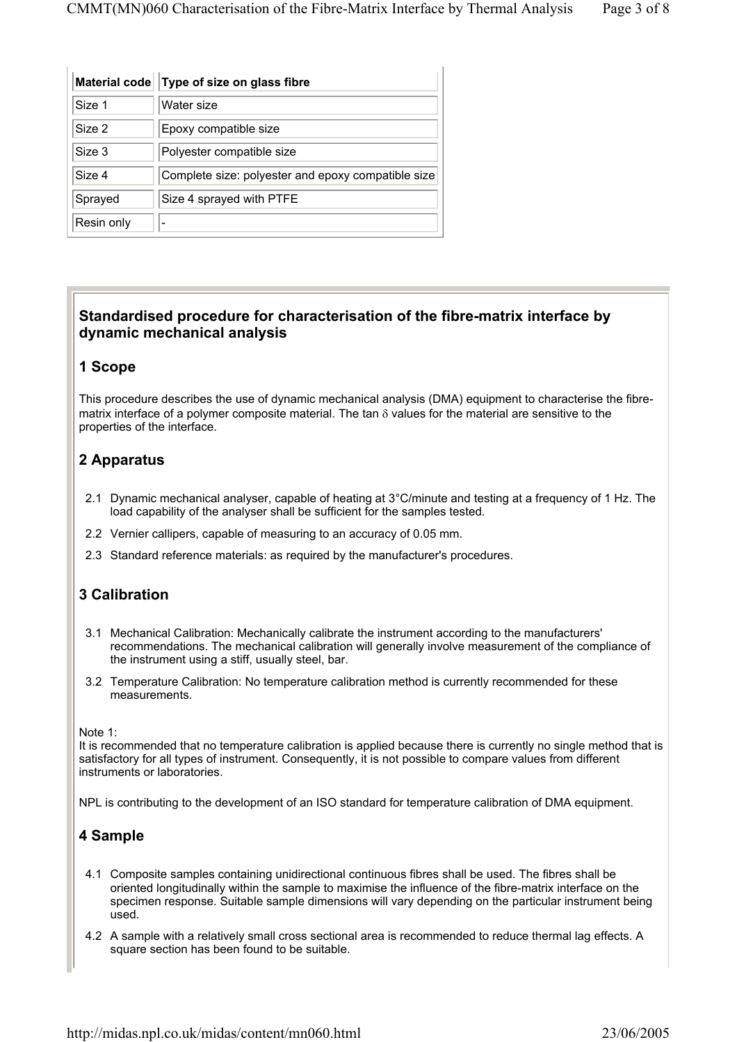| <b>Material code</b> | Type of size on glass fibre                        |
|----------------------|----------------------------------------------------|
| Size 1               | Water size                                         |
| Size 2               | Epoxy compatible size                              |
| Size 3               | Polyester compatible size                          |
| Size 4               | Complete size: polyester and epoxy compatible size |
| Sprayed              | Size 4 sprayed with PTFE                           |
| Resin only           |                                                    |

### **Standardised procedure for characterisation of the fibre-matrix interface by dynamic mechanical analysis**

#### **1 Scope**

This procedure describes the use of dynamic mechanical analysis (DMA) equipment to characterise the fibrematrix interface of a polymer composite material. The tan δ values for the material are sensitive to the properties of the interface.

### **2 Apparatus**

- 2.1 Dynamic mechanical analyser, capable of heating at 3°C/minute and testing at a frequency of 1 Hz. The load capability of the analyser shall be sufficient for the samples tested.
- 2.2 Vernier callipers, capable of measuring to an accuracy of 0.05 mm.
- 2.3 Standard reference materials: as required by the manufacturer's procedures.

### **3 Calibration**

- 3.1 Mechanical Calibration: Mechanically calibrate the instrument according to the manufacturers' recommendations. The mechanical calibration will generally involve measurement of the compliance of the instrument using a stiff, usually steel, bar.
- 3.2 Temperature Calibration: No temperature calibration method is currently recommended for these measurements.

Note 1:

It is recommended that no temperature calibration is applied because there is currently no single method that is satisfactory for all types of instrument. Consequently, it is not possible to compare values from different instruments or laboratories.

NPL is contributing to the development of an ISO standard for temperature calibration of DMA equipment.

### **4 Sample**

- 4.1 Composite samples containing unidirectional continuous fibres shall be used. The fibres shall be oriented longitudinally within the sample to maximise the influence of the fibre-matrix interface on the specimen response. Suitable sample dimensions will vary depending on the particular instrument being used.
- 4.2 A sample with a relatively small cross sectional area is recommended to reduce thermal lag effects. A square section has been found to be suitable.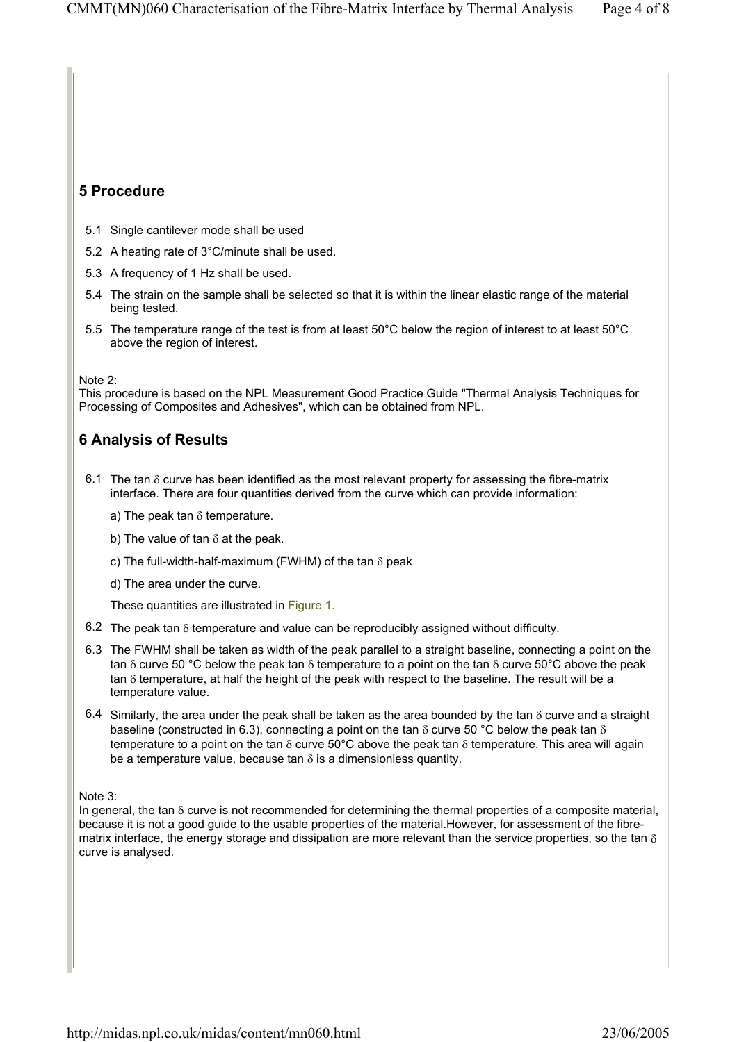### **5 Procedure**

- 5.1 Single cantilever mode shall be used
- 5.2 A heating rate of 3°C/minute shall be used.
- 5.3 A frequency of 1 Hz shall be used.
- 5.4 The strain on the sample shall be selected so that it is within the linear elastic range of the material being tested.
- 5.5 The temperature range of the test is from at least 50°C below the region of interest to at least 50°C above the region of interest.

#### Note 2:

This procedure is based on the NPL Measurement Good Practice Guide "Thermal Analysis Techniques for Processing of Composites and Adhesives", which can be obtained from NPL.

### **6 Analysis of Results**

- 6.1 The tan δ curve has been identified as the most relevant property for assessing the fibre-matrix interface. There are four quantities derived from the curve which can provide information:
	- a) The peak tan  $\delta$  temperature.
	- b) The value of tan  $\delta$  at the peak.
	- c) The full-width-half-maximum (FWHM) of the tan δ peak
	- d) The area under the curve.

These quantities are illustrated in **Figure 1.** 

- 6.2 The peak tan  $\delta$  temperature and value can be reproducibly assigned without difficulty.
- 6.3 The FWHM shall be taken as width of the peak parallel to a straight baseline, connecting a point on the tan  $\delta$  curve 50 °C below the peak tan  $\delta$  temperature to a point on the tan  $\delta$  curve 50°C above the peak tan δ temperature, at half the height of the peak with respect to the baseline. The result will be a temperature value.
- 6.4 Similarly, the area under the peak shall be taken as the area bounded by the tan  $\delta$  curve and a straight baseline (constructed in 6.3), connecting a point on the tan  $\delta$  curve 50 °C below the peak tan  $\delta$ temperature to a point on the tan  $\delta$  curve 50°C above the peak tan  $\delta$  temperature. This area will again be a temperature value, because tan  $\delta$  is a dimensionless quantity.

#### Note 3:

In general, the tan δ curve is not recommended for determining the thermal properties of a composite material, because it is not a good guide to the usable properties of the material.However, for assessment of the fibrematrix interface, the energy storage and dissipation are more relevant than the service properties, so the tan  $\delta$ curve is analysed.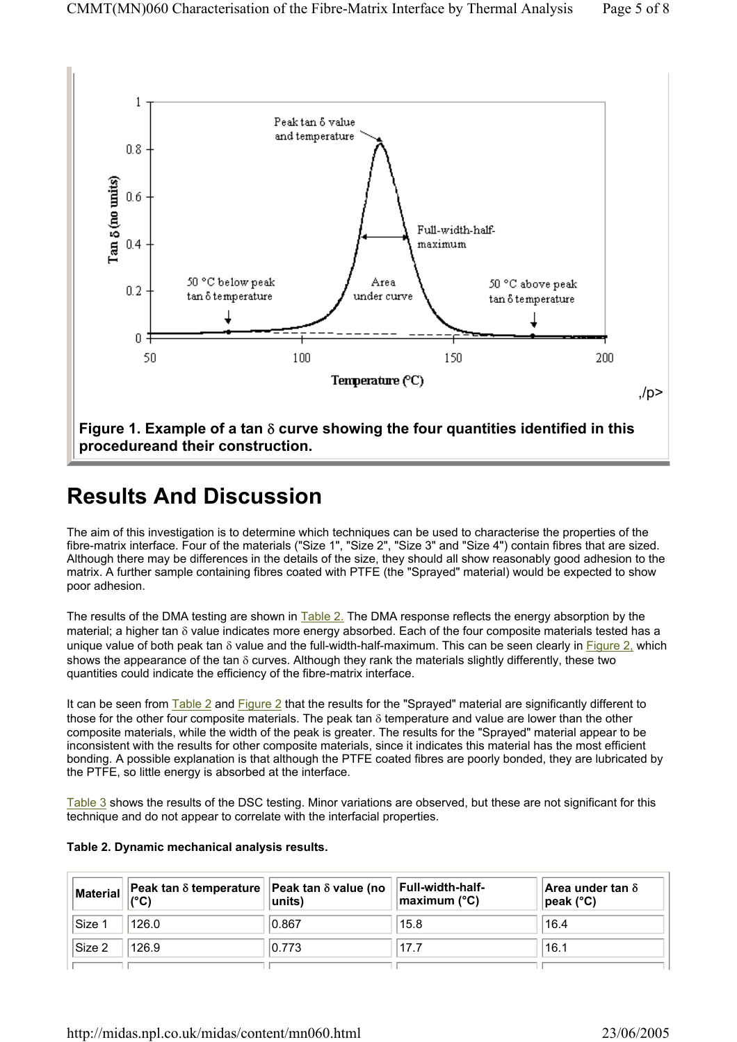

# **Results And Discussion**

The aim of this investigation is to determine which techniques can be used to characterise the properties of the fibre-matrix interface. Four of the materials ("Size 1", "Size 2", "Size 3" and "Size 4") contain fibres that are sized. Although there may be differences in the details of the size, they should all show reasonably good adhesion to the matrix. A further sample containing fibres coated with PTFE (the "Sprayed" material) would be expected to show poor adhesion.

The results of the DMA testing are shown in Table 2. The DMA response reflects the energy absorption by the material; a higher tan δ value indicates more energy absorbed. Each of the four composite materials tested has a unique value of both peak tan  $\delta$  value and the full-width-half-maximum. This can be seen clearly in Figure 2, which shows the appearance of the tan δ curves. Although they rank the materials slightly differently, these two quantities could indicate the efficiency of the fibre-matrix interface.

It can be seen from Table 2 and Figure 2 that the results for the "Sprayed" material are significantly different to those for the other four composite materials. The peak tan  $\delta$  temperature and value are lower than the other composite materials, while the width of the peak is greater. The results for the "Sprayed" material appear to be inconsistent with the results for other composite materials, since it indicates this material has the most efficient bonding. A possible explanation is that although the PTFE coated fibres are poorly bonded, they are lubricated by the PTFE, so little energy is absorbed at the interface.

Table 3 shows the results of the DSC testing. Minor variations are observed, but these are not significant for this technique and do not appear to correlate with the interfacial properties.

#### **Table 2. Dynamic mechanical analysis results.**

| Material          | $\vert\,\vert$ Peak tan $\delta$ temperature $\vert\,\vert$ Peak tan $\delta$ value (no $\vert\,\vert$<br>$(^{\circ}C)$ | $ units\rangle$ | Full-width-half-<br>maximum (°C) | Area under tan $\delta$<br>$\vert$ peak (°C) |
|-------------------|-------------------------------------------------------------------------------------------------------------------------|-----------------|----------------------------------|----------------------------------------------|
| ∣Size 1           | 126.0                                                                                                                   | 0.867           | 15.8                             | 16.4                                         |
| $\textsf{Size} 2$ | 126.9                                                                                                                   | 0.773           | 17.7                             | 16.1                                         |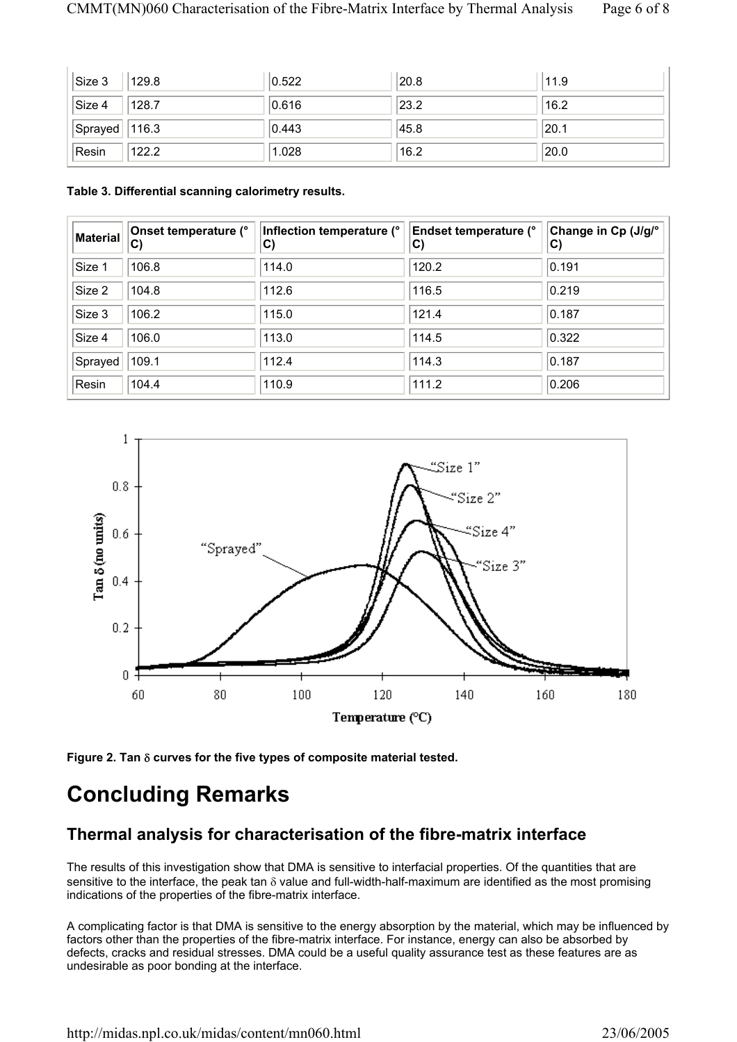| $\vert$ Size 3      | 129.8 | 0.522 | 20.8 | 11.9 |
|---------------------|-------|-------|------|------|
| $\vert$ Size 4      | 128.7 | 0.616 | 23.2 | 16.2 |
| $ $ Sprayed   116.3 |       | 0.443 | 45.8 | 20.1 |
| Resin               | 122.2 | 1.028 | 16.2 | 20.0 |

#### **Table 3. Differential scanning calorimetry results.**

| <b>Material</b> | Onset temperature (°<br>$\mathbf{C}$ | Inflection temperature (°<br>$\mathbf{C}$ | <b>Endset temperature (°</b><br>C) | Change in Cp (J/g/°<br>$ {\bf C})$ |
|-----------------|--------------------------------------|-------------------------------------------|------------------------------------|------------------------------------|
| Size 1          | 106.8                                | 114.0                                     | 120.2                              | 0.191                              |
| Size 2          | 104.8                                | 112.6                                     | 116.5                              | 0.219                              |
| Size 3          | 106.2                                | 115.0                                     | 121.4                              | 0.187                              |
| Size 4          | 106.0                                | 113.0                                     | 114.5                              | 0.322                              |
| Sprayed         | 109.1                                | 112.4                                     | 114.3                              | 0.187                              |
| Resin           | 104.4                                | 110.9                                     | 111.2                              | 0.206                              |



**Figure 2. Tan** δ **curves for the five types of composite material tested.** 

# **Concluding Remarks**

### **Thermal analysis for characterisation of the fibre-matrix interface**

The results of this investigation show that DMA is sensitive to interfacial properties. Of the quantities that are sensitive to the interface, the peak tan  $\delta$  value and full-width-half-maximum are identified as the most promising indications of the properties of the fibre-matrix interface.

A complicating factor is that DMA is sensitive to the energy absorption by the material, which may be influenced by factors other than the properties of the fibre-matrix interface. For instance, energy can also be absorbed by defects, cracks and residual stresses. DMA could be a useful quality assurance test as these features are as undesirable as poor bonding at the interface.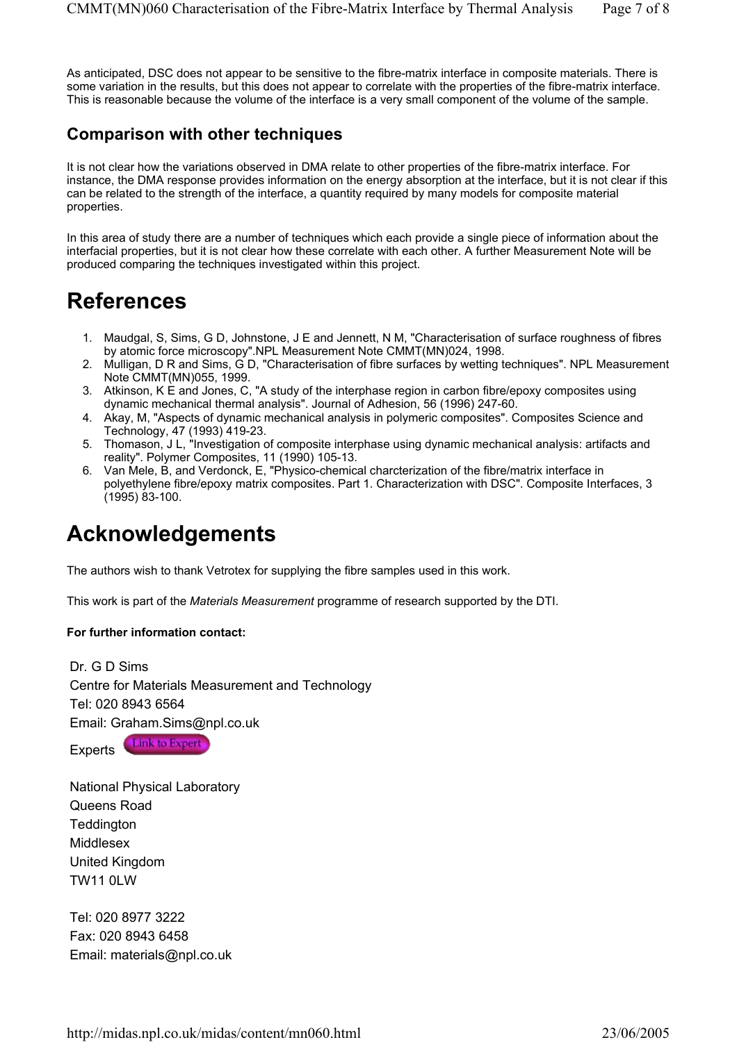As anticipated, DSC does not appear to be sensitive to the fibre-matrix interface in composite materials. There is some variation in the results, but this does not appear to correlate with the properties of the fibre-matrix interface. This is reasonable because the volume of the interface is a very small component of the volume of the sample.

### **Comparison with other techniques**

It is not clear how the variations observed in DMA relate to other properties of the fibre-matrix interface. For instance, the DMA response provides information on the energy absorption at the interface, but it is not clear if this can be related to the strength of the interface, a quantity required by many models for composite material properties.

In this area of study there are a number of techniques which each provide a single piece of information about the interfacial properties, but it is not clear how these correlate with each other. A further Measurement Note will be produced comparing the techniques investigated within this project.

## **References**

- 1. Maudgal, S, Sims, G D, Johnstone, J E and Jennett, N M, "Characterisation of surface roughness of fibres by atomic force microscopy".NPL Measurement Note CMMT(MN)024, 1998.
- 2. Mulligan, D R and Sims, G D, "Characterisation of fibre surfaces by wetting techniques". NPL Measurement Note CMMT(MN)055, 1999.
- 3. Atkinson, K E and Jones, C, "A study of the interphase region in carbon fibre/epoxy composites using dynamic mechanical thermal analysis". Journal of Adhesion, 56 (1996) 247-60.
- 4. Akay, M, "Aspects of dynamic mechanical analysis in polymeric composites". Composites Science and Technology, 47 (1993) 419-23.
- 5. Thomason, J L, "Investigation of composite interphase using dynamic mechanical analysis: artifacts and reality". Polymer Composites, 11 (1990) 105-13.
- 6. Van Mele, B, and Verdonck, E, "Physico-chemical charcterization of the fibre/matrix interface in polyethylene fibre/epoxy matrix composites. Part 1. Characterization with DSC". Composite Interfaces, 3 (1995) 83-100.

# **Acknowledgements**

The authors wish to thank Vetrotex for supplying the fibre samples used in this work.

This work is part of the *Materials Measurement* programme of research supported by the DTI.

#### **For further information contact:**

Dr. G D Sims Centre for Materials Measurement and Technology Tel: 020 8943 6564 Email: Graham.Sims@npl.co.uk

Link to Expert Experts<sup>1</sup>

National Physical Laboratory Queens Road **Teddington** Middlesex United Kingdom TW11 0LW

Tel: 020 8977 3222 Fax: 020 8943 6458 Email: materials@npl.co.uk